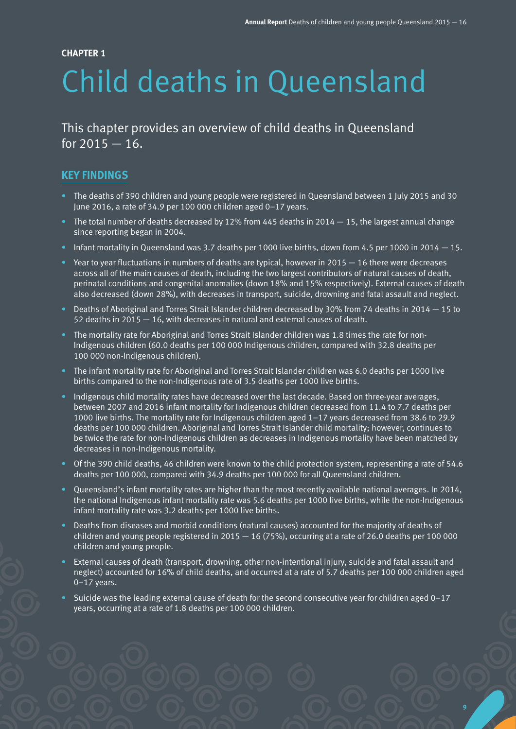#### **CHAPTER 1**

# Child deaths in Queensland

This chapter provides an overview of child deaths in Queensland for  $2015 - 16$ .

# **KEY FINDINGS**

- The deaths of 390 children and young people were registered in Queensland between 1 July 2015 and 30 June 2016, a rate of 34.9 per 100 000 children aged 0–17 years.
- The total number of deaths decreased by 12% from 445 deaths in 2014  $-$  15, the largest annual change since reporting began in 2004.
- Infant mortality in Queensland was 3.7 deaths per 1000 live births, down from 4.5 per 1000 in 2014  $-15$ .
- Year to year fluctuations in numbers of deaths are typical, however in 2015  $-$  16 there were decreases across all of the main causes of death, including the two largest contributors of natural causes of death, perinatal conditions and congenital anomalies (down 18% and 15% respectively). External causes of death also decreased (down 28%), with decreases in transport, suicide, drowning and fatal assault and neglect.
- Deaths of Aboriginal and Torres Strait Islander children decreased by 30% from 74 deaths in 2014 15 to 52 deaths in 2015 — 16, with decreases in natural and external causes of death.
- The mortality rate for Aboriginal and Torres Strait Islander children was 1.8 times the rate for non-Indigenous children (60.0 deaths per 100 000 Indigenous children, compared with 32.8 deaths per 100 000 non-Indigenous children).
- The infant mortality rate for Aboriginal and Torres Strait Islander children was 6.0 deaths per 1000 live births compared to the non-Indigenous rate of 3.5 deaths per 1000 live births.
- Indigenous child mortality rates have decreased over the last decade. Based on three-year averages, between 2007 and 2016 infant mortality for Indigenous children decreased from 11.4 to 7.7 deaths per 1000 live births. The mortality rate for Indigenous children aged 1–17 years decreased from 38.6 to 29.9 deaths per 100 000 children. Aboriginal and Torres Strait Islander child mortality; however, continues to be twice the rate for non-Indigenous children as decreases in Indigenous mortality have been matched by decreases in non-Indigenous mortality.
- Of the 390 child deaths, 46 children were known to the child protection system, representing a rate of 54.6 deaths per 100 000, compared with 34.9 deaths per 100 000 for all Queensland children.
- Queensland's infant mortality rates are higher than the most recently available national averages. In 2014, the national Indigenous infant mortality rate was 5.6 deaths per 1000 live births, while the non-Indigenous infant mortality rate was 3.2 deaths per 1000 live births.
- Deaths from diseases and morbid conditions (natural causes) accounted for the majority of deaths of children and young people registered in  $2015 - 16$  (75%), occurring at a rate of 26.0 deaths per 100 000 children and young people.
- External causes of death (transport, drowning, other non-intentional injury, suicide and fatal assault and neglect) accounted for 16% of child deaths, and occurred at a rate of 5.7 deaths per 100 000 children aged 0–17 years.
- Suicide was the leading external cause of death for the second consecutive year for children aged 0–17 years, occurring at a rate of 1.8 deaths per 100 000 children.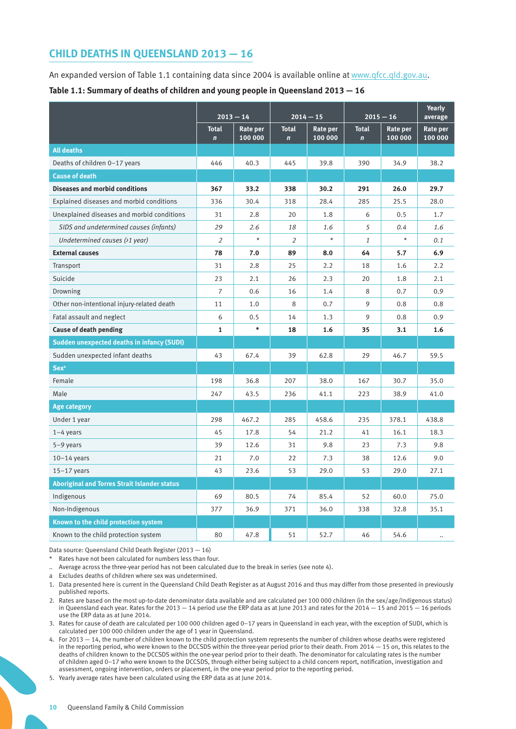# **CHILD DEATHS IN QUEENSLAND 2013 — 16**

An expanded version of Table 1.1 containing data since 2004 is available online at [www.qfcc.qld.gov.au](http://www.qfcc.qld.gov.au).

**Table 1.1: Summary of deaths of children and young people in Queensland 2013 — 16**

|                                                     | $2013 - 14$                 |                     |                                | $2014 - 15$         |                             | $2015 - 16$         | average             |  |
|-----------------------------------------------------|-----------------------------|---------------------|--------------------------------|---------------------|-----------------------------|---------------------|---------------------|--|
|                                                     | <b>Total</b><br>$\mathbf n$ | Rate per<br>100 000 | <b>Total</b><br>$\overline{ }$ | Rate per<br>100 000 | <b>Total</b><br>$\mathbf n$ | Rate per<br>100 000 | Rate per<br>100 000 |  |
| <b>All deaths</b>                                   |                             |                     |                                |                     |                             |                     |                     |  |
| Deaths of children 0-17 years                       | 446                         | 40.3                | 445                            | 39.8                | 390                         | 34.9                | 38.2                |  |
| <b>Cause of death</b>                               |                             |                     |                                |                     |                             |                     |                     |  |
| <b>Diseases and morbid conditions</b>               | 367                         | 33.2                | 338                            | 30.2                | 291                         | 26.0                | 29.7                |  |
| Explained diseases and morbid conditions            | 336                         | 30.4                | 318                            | 28.4                | 285                         | 25.5                | 28.0                |  |
| Unexplained diseases and morbid conditions          | 31                          | 2.8                 | 20                             | 1.8                 | 6                           | 0.5                 | 1.7                 |  |
| SIDS and undetermined causes (infants)              | 29                          | 2.6                 | 18                             | 1.6                 | 5                           | 0.4                 | 1.6                 |  |
| Undetermined causes $(21 \text{ year})$             | $\overline{2}$              | $^\star$            | $\overline{2}$                 | $\star$             | $\mathbf{1}$                | $\star$             | 0.1                 |  |
| <b>External causes</b>                              | 78                          | 7.0                 | 89                             | 8.0                 | 64                          | 5.7                 | 6.9                 |  |
| Transport                                           | 31                          | 2.8                 | 25                             | 2.2                 | 18                          | 1.6                 | 2.2                 |  |
| Suicide                                             | 23                          | 2.1                 | 26                             | 2.3                 | 20                          | 1.8                 | 2.1                 |  |
| Drowning                                            | $\overline{7}$              | 0.6                 | 16                             | 1.4                 | 8                           | 0.7                 | 0.9                 |  |
| Other non-intentional injury-related death          | 11                          | 1.0                 | 8                              | 0.7                 | 9                           | 0.8                 | 0.8                 |  |
| Fatal assault and neglect                           | 6                           | 0.5                 | 14                             | 1.3                 | 9                           | 0.8                 | 0.9                 |  |
| <b>Cause of death pending</b>                       | $\mathbf{1}$                | $\star$             | 18                             | 1.6                 | 35                          | 3.1                 | 1.6                 |  |
| <b>Sudden unexpected deaths in infancy (SUDI)</b>   |                             |                     |                                |                     |                             |                     |                     |  |
| Sudden unexpected infant deaths                     | 43                          | 67.4                | 39                             | 62.8                | 29                          | 46.7                | 59.5                |  |
| Sex <sup>a</sup>                                    |                             |                     |                                |                     |                             |                     |                     |  |
| Female                                              | 198                         | 36.8                | 207                            | 38.0                | 167                         | 30.7                | 35.0                |  |
| Male                                                | 247                         | 43.5                | 236                            | 41.1                | 223                         | 38.9                | 41.0                |  |
| <b>Age category</b>                                 |                             |                     |                                |                     |                             |                     |                     |  |
| Under 1 year                                        | 298                         | 467.2               | 285                            | 458.6               | 235                         | 378.1               | 438.8               |  |
| $1-4$ years                                         | 45                          | 17.8                | 54                             | 21.2                | 41                          | 16.1                | 18.3                |  |
| $5-9$ years                                         | 39                          | 12.6                | 31                             | 9.8                 | 23                          | 7.3                 | 9.8                 |  |
| $10-14$ years                                       | 21                          | 7.0                 | 22                             | 7.3                 | 38                          | 12.6                | 9.0                 |  |
| $15-17$ years                                       | 43                          | 23.6                | 53                             | 29.0                | 53                          | 29.0                | 27.1                |  |
| <b>Aboriginal and Torres Strait Islander status</b> |                             |                     |                                |                     |                             |                     |                     |  |
| Indigenous                                          | 69                          | 80.5                | 74                             | 85.4                | 52                          | 60.0                | 75.0                |  |
| Non-Indigenous                                      | 377                         | 36.9                | 371                            | 36.0                | 338                         | 32.8                | 35.1                |  |
| Known to the child protection system                |                             |                     |                                |                     |                             |                     |                     |  |
| Known to the child protection system                | 80                          | 47.8                | 51                             | 52.7                | 46                          | 54.6                |                     |  |

Data source: Queensland Child Death Register (2013 — 16)

- Rates have not been calculated for numbers less than four.
- .. Average across the three-year period has not been calculated due to the break in series (see note 4).
- a Excludes deaths of children where sex was undetermined.
- 1. Data presented here is current in the Queensland Child Death Register as at August 2016 and thus may differ from those presented in previously published reports.
- 2. Rates are based on the most up-to-date denominator data available and are calculated per 100 000 children (in the sex/age/Indigenous status) in Queensland each year. Rates for the 2013 — 14 period use the ERP data as at June 2013 and rates for the 2014 — 15 and 2015 — 16 periods use the ERP data as at June 2014.
- 3. Rates for cause of death are calculated per 100 000 children aged 0–17 years in Queensland in each year, with the exception of SUDI, which is calculated per 100 000 children under the age of 1 year in Queensland.
- 4. For 2013 14, the number of children known to the child protection system represents the number of children whose deaths were registered in the reporting period, who were known to the DCCSDS within the three-year period prior to their death. From 2014 — 15 on, this relates to the deaths of children known to the DCCSDS within the one-year period prior to their death. The denominator for calculating rates is the number of children aged 0–17 who were known to the DCCSDS, through either being subject to a child concern report, notification, investigation and assessment, ongoing intervention, orders or placement, in the one-year period prior to the reporting period.

5. Yearly average rates have been calculated using the ERP data as at June 2014.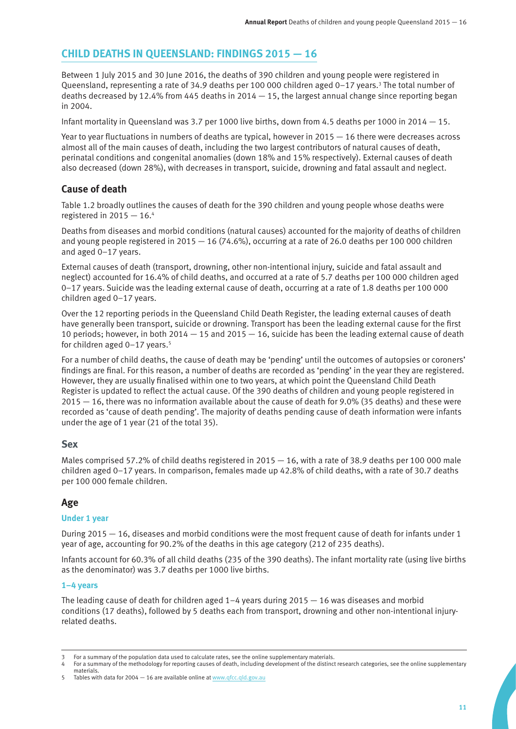# **CHILD DEATHS IN QUEENSLAND: FINDINGS 2015 — 16**

Between 1 July 2015 and 30 June 2016, the deaths of 390 children and young people were registered in Queensland, representing a rate of 34.9 deaths per 100 000 children aged 0-17 years.<sup>3</sup> The total number of deaths decreased by 12.4% from 445 deaths in  $2014 - 15$ , the largest annual change since reporting began in 2004.

Infant mortality in Queensland was 3.7 per 1000 live births, down from 4.5 deaths per 1000 in 2014 — 15.

Year to year fluctuations in numbers of deaths are typical, however in 2015 — 16 there were decreases across almost all of the main causes of death, including the two largest contributors of natural causes of death, perinatal conditions and congenital anomalies (down 18% and 15% respectively). External causes of death also decreased (down 28%), with decreases in transport, suicide, drowning and fatal assault and neglect.

# **Cause of death**

Table 1.2 broadly outlines the causes of death for the 390 children and young people whose deaths were registered in  $2015 - 16.4$ 

Deaths from diseases and morbid conditions (natural causes) accounted for the majority of deaths of children and young people registered in  $2015 - 16$  (74.6%), occurring at a rate of 26.0 deaths per 100 000 children and aged 0–17 years.

External causes of death (transport, drowning, other non-intentional injury, suicide and fatal assault and neglect) accounted for 16.4% of child deaths, and occurred at a rate of 5.7 deaths per 100 000 children aged 0–17 years. Suicide was the leading external cause of death, occurring at a rate of 1.8 deaths per 100 000 children aged 0–17 years.

Over the 12 reporting periods in the Queensland Child Death Register, the leading external causes of death have generally been transport, suicide or drowning. Transport has been the leading external cause for the first 10 periods; however, in both 2014 — 15 and 2015 — 16, suicide has been the leading external cause of death for children aged  $0-17$  years.<sup>5</sup>

For a number of child deaths, the cause of death may be 'pending' until the outcomes of autopsies or coroners' findings are final. For this reason, a number of deaths are recorded as 'pending' in the year they are registered. However, they are usually finalised within one to two years, at which point the Queensland Child Death Register is updated to reflect the actual cause. Of the 390 deaths of children and young people registered in 2015 — 16, there was no information available about the cause of death for 9.0% (35 deaths) and these were recorded as 'cause of death pending'. The majority of deaths pending cause of death information were infants under the age of 1 year (21 of the total 35).

# **Sex**

Males comprised 57.2% of child deaths registered in  $2015 - 16$ , with a rate of 38.9 deaths per 100 000 male children aged 0–17 years. In comparison, females made up 42.8% of child deaths, with a rate of 30.7 deaths per 100 000 female children.

# **Age**

# **Under 1 year**

During 2015 — 16, diseases and morbid conditions were the most frequent cause of death for infants under 1 year of age, accounting for 90.2% of the deaths in this age category (212 of 235 deaths).

Infants account for 60.3% of all child deaths (235 of the 390 deaths). The infant mortality rate (using live births as the denominator) was 3.7 deaths per 1000 live births.

### **1–4 years**

The leading cause of death for children aged  $1-4$  years during 2015  $-$  16 was diseases and morbid conditions (17 deaths), followed by 5 deaths each from transport, drowning and other non-intentional injuryrelated deaths.

<sup>3</sup> For a summary of the population data used to calculate rates, see the online supplementary materials.

<sup>4</sup> For a summary of the methodology for reporting causes of death, including development of the distinct research categories, see the online supplementary materials.

<sup>5</sup> Tables with data for 2004 — 16 are available online at [www.qfcc.qld.gov.au](http://www.qfcc.qld.gov.au)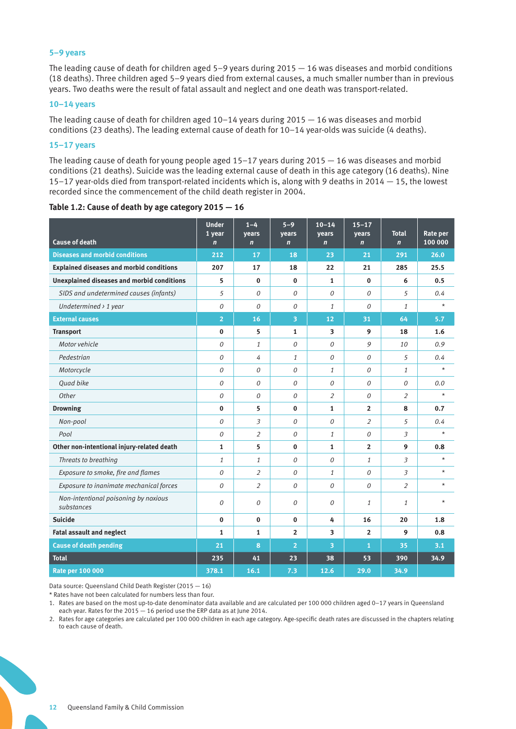#### **5–9 years**

The leading cause of death for children aged 5–9 years during 2015 — 16 was diseases and morbid conditions (18 deaths). Three children aged 5–9 years died from external causes, a much smaller number than in previous years. Two deaths were the result of fatal assault and neglect and one death was transport-related.

#### **10–14 years**

The leading cause of death for children aged 10–14 years during 2015 — 16 was diseases and morbid conditions (23 deaths). The leading external cause of death for 10–14 year-olds was suicide (4 deaths).

#### **15–17 years**

The leading cause of death for young people aged 15–17 years during 2015 — 16 was diseases and morbid conditions (21 deaths). Suicide was the leading external cause of death in this age category (16 deaths). Nine 15–17 year-olds died from transport-related incidents which is, along with 9 deaths in 2014 — 15, the lowest recorded since the commencement of the child death register in 2004.

| <b>Cause of death</b>                              | <b>Under</b><br>1 year<br>$\mathbf n$ | $1-4$<br>vears<br>$\mathbf n$ | $5 - 9$<br>vears<br>$\overline{ }$ | $10 - 14$<br>vears<br>$\overline{ }$ | $15 - 17$<br>vears<br>$\overline{ }$ | <b>Total</b><br>$\mathbf n$ | Rate per<br>100 000 |
|----------------------------------------------------|---------------------------------------|-------------------------------|------------------------------------|--------------------------------------|--------------------------------------|-----------------------------|---------------------|
| <b>Diseases and morbid conditions</b>              | 212                                   | 17                            | 18                                 | 23                                   | 21                                   | 291                         | 26.0                |
| <b>Explained diseases and morbid conditions</b>    | 207                                   | 17                            | 18                                 | 22                                   | 21                                   | 285                         | 25.5                |
| <b>Unexplained diseases and morbid conditions</b>  | 5                                     | $\bf{0}$                      | $\bf{0}$                           | 1                                    | $\bf{0}$                             | 6                           | 0.5                 |
| SIDS and undetermined causes (infants)             | 5                                     | $\Omega$                      | $\Omega$                           | $\Omega$                             | $\Omega$                             | 5                           | 0.4                 |
| Undetermined $\rightarrow$ 1 year                  | 0                                     | 0                             | $\Omega$                           | $\mathbf{1}$                         | $\theta$                             | $\mathbf{1}$                | $\star$             |
| <b>External causes</b>                             | $\overline{2}$                        | 16                            | 3                                  | 12                                   | 31                                   | 64                          | 5.7                 |
| <b>Transport</b>                                   | $\bf{0}$                              | 5                             | $\mathbf{1}$                       | 3                                    | 9                                    | 18                          | 1.6                 |
| Motor vehicle                                      | $\overline{O}$                        | $\mathbf{1}$                  | $\theta$                           | 0                                    | 9                                    | 10                          | 0.9                 |
| Pedestrian                                         | $\Omega$                              | 4                             | $\mathbf{1}$                       | 0                                    | 0                                    | 5                           | 0.4                 |
| Motorcycle                                         | $\overline{O}$                        | 0                             | $\Omega$                           | $\mathbf{1}$                         | 0                                    | $\mathbf{1}$                | $\star$             |
| <b>Ouad bike</b>                                   | $\overline{O}$                        | 0                             | $\theta$                           | 0                                    | 0                                    | $\Omega$                    | 0.0                 |
| Other                                              | $\Omega$                              | 0                             | $\Omega$                           | $\overline{2}$                       | 0                                    | $\overline{2}$              | $\star$             |
| <b>Drowning</b>                                    | $\bf{0}$                              | 5                             | $\bf{0}$                           | $\mathbf{1}$                         | $\overline{2}$                       | 8                           | 0.7                 |
| Non-pool                                           | 0                                     | $\overline{3}$                | 0                                  | 0                                    | $\overline{2}$                       | 5                           | 0.4                 |
| Pool                                               | 0                                     | 2                             | $\Omega$                           | $\mathbf{1}$                         | 0                                    | 3                           | $^\star$            |
| Other non-intentional injury-related death         | $\mathbf{1}$                          | 5                             | $\bf{0}$                           | $\mathbf{1}$                         | $\overline{2}$                       | 9                           | 0.8                 |
| Threats to breathing                               | $\mathbf{1}$                          | $\mathbf{1}$                  | $\theta$                           | 0                                    | $\mathbf{1}$                         | 3                           | $\star$             |
| Exposure to smoke, fire and flames                 | 0                                     | 2                             | $\Omega$                           | 1                                    | 0                                    | 3                           | $^\star$            |
| Exposure to inanimate mechanical forces            | $\overline{O}$                        | $\overline{2}$                | $\theta$                           | 0                                    | 0                                    | $\overline{2}$              | $\star$             |
| Non-intentional poisoning by noxious<br>substances | $\Omega$                              | 0                             | 0                                  | 0                                    | $\mathbf{1}$                         | $\mathbf{1}$                | $\star$             |
| <b>Suicide</b>                                     | $\Omega$                              | $\bf{0}$                      | $\mathbf{0}$                       | 4                                    | 16                                   | 20                          | 1.8                 |
| <b>Fatal assault and neglect</b>                   | $\mathbf{1}$                          | $\mathbf{1}$                  | $\overline{2}$                     | 3                                    | $\overline{2}$                       | 9                           | 0.8                 |
| <b>Cause of death pending</b>                      | 21                                    | 8                             | $\overline{2}$                     | 3                                    | $\overline{1}$                       | 35                          | 3.1                 |
| <b>Total</b>                                       | 235                                   | 41                            | 23                                 | 38                                   | 53                                   | 390                         | 34.9                |
| <b>Rate per 100 000</b>                            | 378.1                                 | 16.1                          | 7.3                                | 12.6                                 | 29.0                                 | 34.9                        |                     |

#### **Table 1.2: Cause of death by age category 2015 — 16**

Data source: Queensland Child Death Register (2015 — 16)

\* Rates have not been calculated for numbers less than four.

1. Rates are based on the most up-to-date denominator data available and are calculated per 100 000 children aged 0–17 years in Queensland each year. Rates for the 2015 – 16 period use the ERP data as at June 2014.

2. Rates for age categories are calculated per 100 000 children in each age category. Age-specific death rates are discussed in the chapters relating to each cause of death.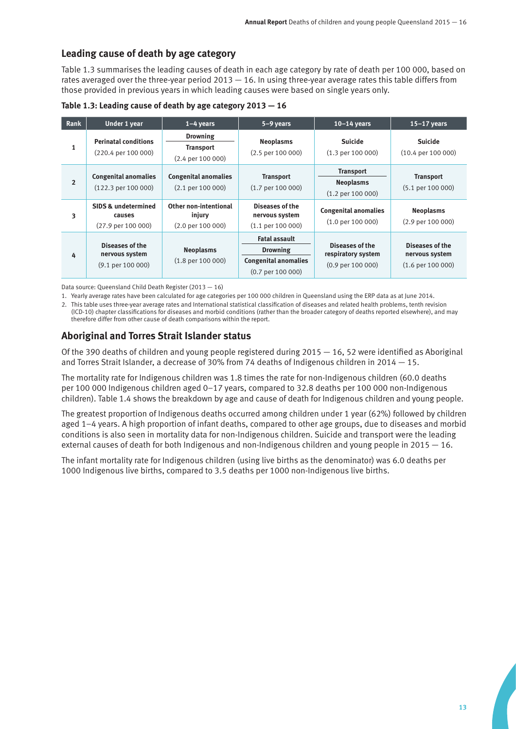# **Leading cause of death by age category**

Table 1.3 summarises the leading causes of death in each age category by rate of death per 100 000, based on rates averaged over the three-year period 2013 — 16. In using three-year average rates this table differs from those provided in previous years in which leading causes were based on single years only.

**Table 1.3: Leading cause of death by age category 2013 — 16** 

| Rank           | Under 1 year                                                       | $1-4$ years                                                      | 5-9 years                                                                                     | $10-14$ years                                                         | $15-17$ years                                            |
|----------------|--------------------------------------------------------------------|------------------------------------------------------------------|-----------------------------------------------------------------------------------------------|-----------------------------------------------------------------------|----------------------------------------------------------|
| 1              | <b>Perinatal conditions</b><br>$(220.4 \text{ per } 100\,000)$     | <b>Drowning</b><br><b>Transport</b><br>$(2.4$ per 100 000)       | <b>Neoplasms</b><br>$(2.5 \text{ per } 100\,000)$                                             | <b>Suicide</b><br>$(1.3 \text{ per } 100\,000)$                       | <b>Suicide</b><br>$(10.4 \text{ per } 100\,000)$         |
| $\overline{2}$ | <b>Congenital anomalies</b><br>$(122.3 \text{ per } 100\,000)$     | <b>Congenital anomalies</b><br>$(2.1 \text{ per } 100\,000)$     | <b>Transport</b><br>$(1.7 \text{ per } 100\,000)$                                             | <b>Transport</b><br><b>Neoplasms</b><br>$(1.2 \text{ per } 100\,000)$ | <b>Transport</b><br>$(5.1 \text{ per } 100\,000)$        |
| 3              | <b>SIDS &amp; undetermined</b><br>causes<br>$(27.9$ per 100 000)   | Other non-intentional<br>injury<br>$(2.0 \text{ per } 100\,000)$ | Diseases of the<br>nervous system<br>$(1.1 \text{ per } 100\,000)$                            | <b>Congenital anomalies</b><br>$(1.0 \text{ per } 100\,000)$          | <b>Neoplasms</b><br>$(2.9 \text{ per } 100\,000)$        |
| 4              | Diseases of the<br>nervous system<br>$(9.1 \text{ per } 100\,000)$ | <b>Neoplasms</b><br>$(1.8 \text{ per } 100\,000)$                | <b>Fatal assault</b><br><b>Drowning</b><br><b>Congenital anomalies</b><br>$(0.7$ per 100 000) | Diseases of the<br>respiratory system<br>$(0.9$ per 100 000)          | Diseases of the<br>nervous system<br>$(1.6$ per 100 000) |

Data source: Queensland Child Death Register (2013 — 16)

1. Yearly average rates have been calculated for age categories per 100 000 children in Queensland using the ERP data as at June 2014.

2. This table uses three-year average rates and International statistical classification of diseases and related health problems, tenth revision (ICD-10) chapter classifications for diseases and morbid conditions (rather than the broader category of deaths reported elsewhere), and may therefore differ from other cause of death comparisons within the report.

# **Aboriginal and Torres Strait Islander status**

Of the 390 deaths of children and young people registered during  $2015 - 16$ , 52 were identified as Aboriginal and Torres Strait Islander, a decrease of 30% from 74 deaths of Indigenous children in 2014 — 15.

The mortality rate for Indigenous children was 1.8 times the rate for non-Indigenous children (60.0 deaths per 100 000 Indigenous children aged 0–17 years, compared to 32.8 deaths per 100 000 non-Indigenous children). Table 1.4 shows the breakdown by age and cause of death for Indigenous children and young people.

The greatest proportion of Indigenous deaths occurred among children under 1 year (62%) followed by children aged 1–4 years. A high proportion of infant deaths, compared to other age groups, due to diseases and morbid conditions is also seen in mortality data for non-Indigenous children. Suicide and transport were the leading external causes of death for both Indigenous and non-Indigenous children and young people in 2015 — 16.

The infant mortality rate for Indigenous children (using live births as the denominator) was 6.0 deaths per 1000 Indigenous live births, compared to 3.5 deaths per 1000 non-Indigenous live births.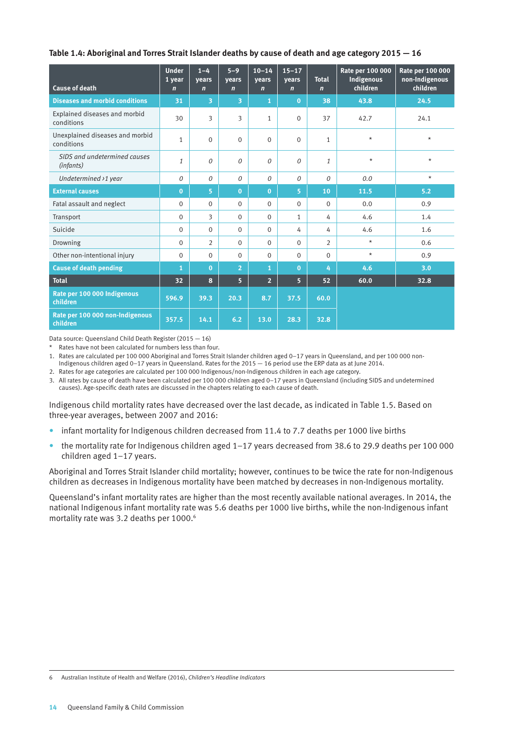#### **Table 1.4: Aboriginal and Torres Strait Islander deaths by cause of death and age category 2015 — 16**

| <b>Cause of death</b>                         | <b>Under</b><br>1 year<br>$\mathbf n$ | $1 - 4$<br>years<br>$\mathbf n$ | $5 - 9$<br>years<br>$\mathbf n$ | $10 - 14$<br>years<br>$\mathbf n$ | $15 - 17$<br>years<br>$\mathbf n$ | <b>Total</b><br>$\mathbf n$ | Rate per 100 000<br>Indigenous<br>children | Rate per 100 000<br>non-Indigenous<br>children |
|-----------------------------------------------|---------------------------------------|---------------------------------|---------------------------------|-----------------------------------|-----------------------------------|-----------------------------|--------------------------------------------|------------------------------------------------|
| <b>Diseases and morbid conditions</b>         | 31                                    | 3                               | 3                               | 1                                 | $\bf{0}$                          | 38                          | 43.8                                       | 24.5                                           |
| Explained diseases and morbid<br>conditions   | 30                                    | 3                               | 3                               | $\mathbf{1}$                      | $\Omega$                          | 37                          | 42.7                                       | 24.1                                           |
| Unexplained diseases and morbid<br>conditions | $\mathbf{1}$                          | $\Omega$                        | $\Omega$                        | $\Omega$                          | $\Omega$                          | $\mathbf{1}$                | $\star$                                    | $\star$                                        |
| SIDS and undetermined causes<br>(infants)     | 1                                     | 0                               | 0                               | $\Omega$                          | 0                                 | 1                           | $\star$                                    | $\star$                                        |
| Undetermined >1 year                          | 0                                     | 0                               | 0                               | $\theta$                          | 0                                 | $\Omega$                    | 0.0                                        | $\star$                                        |
| <b>External causes</b>                        | $\overline{0}$                        | 5                               | $\bf{0}$                        | $\mathbf 0$                       | 5                                 | 10                          | 11.5                                       | 5.2                                            |
| Fatal assault and neglect                     | $\mathbf{0}$                          | $\Omega$                        | $\Omega$                        | $\Omega$                          | $\Omega$                          | $\Omega$                    | 0.0                                        | 0.9                                            |
| Transport                                     | $\mathbf{0}$                          | 3                               | $\Omega$                        | $\Omega$                          | $\mathbf{1}$                      | 4                           | 4.6                                        | 1.4                                            |
| Suicide                                       | $\mathbf{0}$                          | $\Omega$                        | $\Omega$                        | $\Omega$                          | 4                                 | 4                           | 4.6                                        | 1.6                                            |
| Drowning                                      | $\Omega$                              | $\overline{2}$                  | $\Omega$                        | $\Omega$                          | $\Omega$                          | $\overline{2}$              | $\star$                                    | 0.6                                            |
| Other non-intentional injury                  | $\mathbf{0}$                          | $\Omega$                        | $\Omega$                        | $\Omega$                          | $\mathbf{O}$                      | $\Omega$                    | $\star$                                    | 0.9                                            |
| <b>Cause of death pending</b>                 | 1                                     | $\bf{0}$                        | $\overline{2}$                  | 1                                 | $\bf{0}$                          | 4                           | 4.6                                        | 3.0                                            |
| <b>Total</b>                                  | 32                                    | 8                               | 5 <sup>1</sup>                  | $\overline{2}$                    | 5                                 | 52                          | 60.0                                       | 32.8                                           |
| Rate per 100 000 Indigenous<br>children       | 596.9                                 | 39.3                            | 20.3                            | 8.7                               | 37.5                              | 60.0                        |                                            |                                                |
| Rate per 100 000 non-Indigenous<br>children   | 357.5                                 | 14.1                            | 6.2                             | 13.0                              | 28.3                              | 32.8                        |                                            |                                                |

Data source: Queensland Child Death Register (2015 — 16)

\* Rates have not been calculated for numbers less than four.

1. Rates are calculated per 100 000 Aboriginal and Torres Strait Islander children aged 0–17 years in Queensland, and per 100 000 non-

Indigenous children aged 0–17 years in Queensland. Rates for the 2015 — 16 period use the ERP data as at June 2014.

2. Rates for age categories are calculated per 100 000 Indigenous/non-Indigenous children in each age category.

3. All rates by cause of death have been calculated per 100 000 children aged 0–17 years in Queensland (including SIDS and undetermined causes). Age-specific death rates are discussed in the chapters relating to each cause of death.

Indigenous child mortality rates have decreased over the last decade, as indicated in Table 1.5. Based on three-year averages, between 2007 and 2016:

- infant mortality for Indigenous children decreased from 11.4 to 7.7 deaths per 1000 live births
- the mortality rate for Indigenous children aged 1–17 years decreased from 38.6 to 29.9 deaths per 100 000 children aged 1–17 years.

Aboriginal and Torres Strait Islander child mortality; however, continues to be twice the rate for non-Indigenous children as decreases in Indigenous mortality have been matched by decreases in non-Indigenous mortality.

Queensland's infant mortality rates are higher than the most recently available national averages. In 2014, the national Indigenous infant mortality rate was 5.6 deaths per 1000 live births, while the non-Indigenous infant mortality rate was 3.2 deaths per 1000.<sup>6</sup>

6 Australian Institute of Health and Welfare (2016), *Children's Headline Indicators*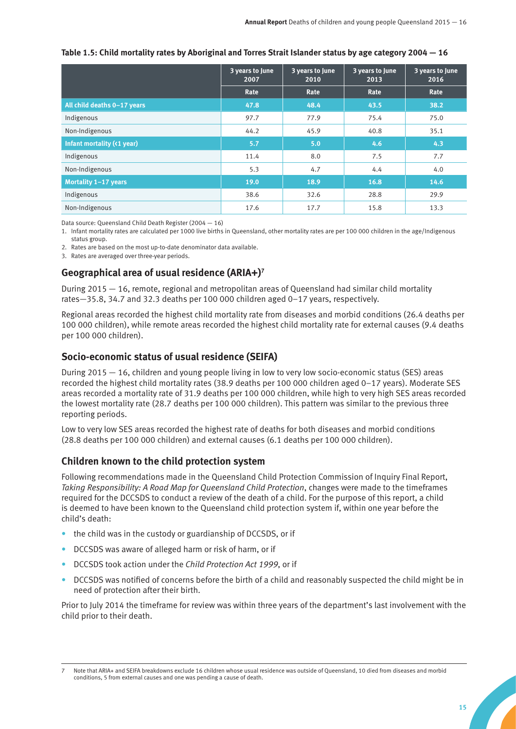|  | Table 1.5: Child mortality rates by Aboriginal and Torres Strait Islander status by age category $2004 - 16$ |  |
|--|--------------------------------------------------------------------------------------------------------------|--|
|--|--------------------------------------------------------------------------------------------------------------|--|

|                             | 3 years to June<br>2007 | 3 years to June<br>2010 | 3 years to June<br>2013 | 3 years to June<br>2016 |
|-----------------------------|-------------------------|-------------------------|-------------------------|-------------------------|
|                             | Rate                    | Rate                    | Rate                    | Rate                    |
| All child deaths 0-17 years | 47.8                    | 48.4                    | 43.5                    | 38.2                    |
| Indigenous                  | 97.7                    | 77.9                    | 75.4                    | 75.0                    |
| Non-Indigenous              | 44.2                    | 45.9                    | 40.8                    | 35.1                    |
| Infant mortality (<1 year)  | 5.7                     | 5.0                     | 4.6                     | 4.3                     |
| Indigenous                  | 11.4                    | 8.0                     | 7.5                     | 7.7                     |
| Non-Indigenous              | 5.3                     | 4.7                     | 4.4                     | 4.0                     |
| Mortality 1-17 years        | 19.0                    | 18.9                    | 16.8                    | 14.6                    |
| Indigenous                  | 38.6                    | 32.6                    | 28.8                    | 29.9                    |
| Non-Indigenous              | 17.6                    | 17.7                    | 15.8                    | 13.3                    |

Data source: Queensland Child Death Register (2004 — 16)

1. Infant mortality rates are calculated per 1000 live births in Queensland, other mortality rates are per 100 000 children in the age/Indigenous status group.

2. Rates are based on the most up-to-date denominator data available.

3. Rates are averaged over three-year periods.

# **Geographical area of usual residence (ARIA+)7**

During 2015 — 16, remote, regional and metropolitan areas of Queensland had similar child mortality rates—35.8, 34.7 and 32.3 deaths per 100 000 children aged 0–17 years, respectively.

Regional areas recorded the highest child mortality rate from diseases and morbid conditions (26.4 deaths per 100 000 children), while remote areas recorded the highest child mortality rate for external causes (9.4 deaths per 100 000 children).

# **Socio-economic status of usual residence (SEIFA)**

During 2015 — 16, children and young people living in low to very low socio-economic status (SES) areas recorded the highest child mortality rates (38.9 deaths per 100 000 children aged 0–17 years). Moderate SES areas recorded a mortality rate of 31.9 deaths per 100 000 children, while high to very high SES areas recorded the lowest mortality rate (28.7 deaths per 100 000 children). This pattern was similar to the previous three reporting periods.

Low to very low SES areas recorded the highest rate of deaths for both diseases and morbid conditions (28.8 deaths per 100 000 children) and external causes (6.1 deaths per 100 000 children).

# **Children known to the child protection system**

Following recommendations made in the Queensland Child Protection Commission of Inquiry Final Report, *Taking Responsibility: A Road Map for Queensland Child Protection*, changes were made to the timeframes required for the DCCSDS to conduct a review of the death of a child. For the purpose of this report, a child is deemed to have been known to the Queensland child protection system if, within one year before the child's death:

- the child was in the custody or guardianship of DCCSDS, or if
- DCCSDS was aware of alleged harm or risk of harm, or if
- DCCSDS took action under the *Child Protection Act 1999*, or if
- DCCSDS was notified of concerns before the birth of a child and reasonably suspected the child might be in need of protection after their birth.

Prior to July 2014 the timeframe for review was within three years of the department's last involvement with the child prior to their death.

Note that ARIA+ and SEIFA breakdowns exclude 16 children whose usual residence was outside of Queensland, 10 died from diseases and morbid conditions, 5 from external causes and one was pending a cause of death.